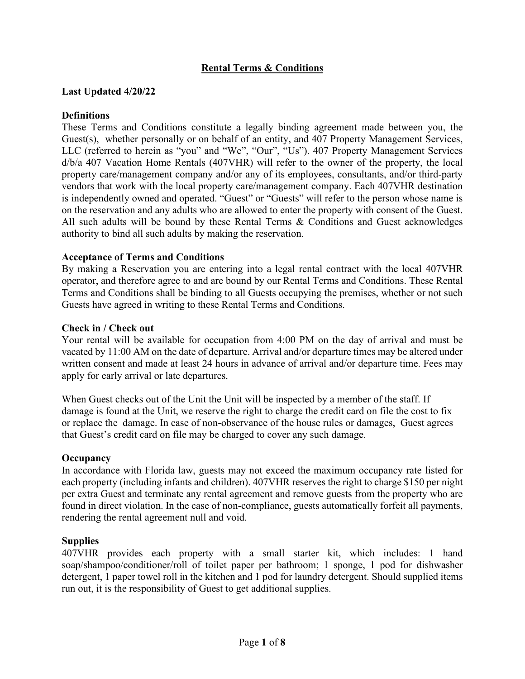# **Rental Terms & Conditions**

### **Last Updated 4/20/22**

### **Definitions**

These Terms and Conditions constitute a legally binding agreement made between you, the Guest(s), whether personally or on behalf of an entity, and 407 Property Management Services, LLC (referred to herein as "you" and "We", "Our", "Us"). 407 Property Management Services d/b/a 407 Vacation Home Rentals (407VHR) will refer to the owner of the property, the local property care/management company and/or any of its employees, consultants, and/or third-party vendors that work with the local property care/management company. Each 407VHR destination is independently owned and operated. "Guest" or "Guests" will refer to the person whose name is on the reservation and any adults who are allowed to enter the property with consent of the Guest. All such adults will be bound by these Rental Terms & Conditions and Guest acknowledges authority to bind all such adults by making the reservation.

### **Acceptance of Terms and Conditions**

By making a Reservation you are entering into a legal rental contract with the local 407VHR operator, and therefore agree to and are bound by our Rental Terms and Conditions. These Rental Terms and Conditions shall be binding to all Guests occupying the premises, whether or not such Guests have agreed in writing to these Rental Terms and Conditions.

#### **Check in / Check out**

Your rental will be available for occupation from 4:00 PM on the day of arrival and must be vacated by 11:00 AM on the date of departure. Arrival and/or departure times may be altered under written consent and made at least 24 hours in advance of arrival and/or departure time. Fees may apply for early arrival or late departures.

When Guest checks out of the Unit the Unit will be inspected by a member of the staff. If damage is found at the Unit, we reserve the right to charge the credit card on file the cost to fix or replace the damage. In case of non-observance of the house rules or damages, Guest agrees that Guest's credit card on file may be charged to cover any such damage.

#### **Occupancy**

In accordance with Florida law, guests may not exceed the maximum occupancy rate listed for each property (including infants and children). 407VHR reserves the right to charge \$150 per night per extra Guest and terminate any rental agreement and remove guests from the property who are found in direct violation. In the case of non-compliance, guests automatically forfeit all payments, rendering the rental agreement null and void.

#### **Supplies**

407VHR provides each property with a small starter kit, which includes: 1 hand soap/shampoo/conditioner/roll of toilet paper per bathroom; 1 sponge, 1 pod for dishwasher detergent, 1 paper towel roll in the kitchen and 1 pod for laundry detergent. Should supplied items run out, it is the responsibility of Guest to get additional supplies.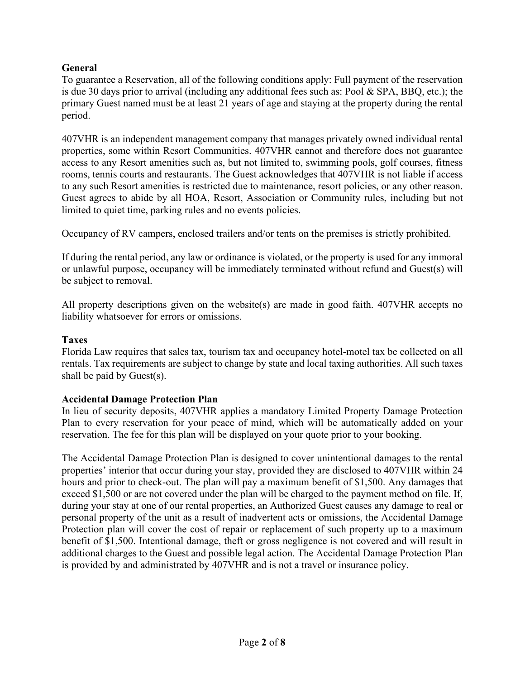## **General**

To guarantee a Reservation, all of the following conditions apply: Full payment of the reservation is due 30 days prior to arrival (including any additional fees such as: Pool & SPA, BBQ, etc.); the primary Guest named must be at least 21 years of age and staying at the property during the rental period.

407VHR is an independent management company that manages privately owned individual rental properties, some within Resort Communities. 407VHR cannot and therefore does not guarantee access to any Resort amenities such as, but not limited to, swimming pools, golf courses, fitness rooms, tennis courts and restaurants. The Guest acknowledges that 407VHR is not liable if access to any such Resort amenities is restricted due to maintenance, resort policies, or any other reason. Guest agrees to abide by all HOA, Resort, Association or Community rules, including but not limited to quiet time, parking rules and no events policies.

Occupancy of RV campers, enclosed trailers and/or tents on the premises is strictly prohibited.

If during the rental period, any law or ordinance is violated, or the property is used for any immoral or unlawful purpose, occupancy will be immediately terminated without refund and Guest(s) will be subject to removal.

All property descriptions given on the website(s) are made in good faith. 407VHR accepts no liability whatsoever for errors or omissions.

## **Taxes**

Florida Law requires that sales tax, tourism tax and occupancy hotel-motel tax be collected on all rentals. Tax requirements are subject to change by state and local taxing authorities. All such taxes shall be paid by Guest(s).

## **Accidental Damage Protection Plan**

In lieu of security deposits, 407VHR applies a mandatory Limited Property Damage Protection Plan to every reservation for your peace of mind, which will be automatically added on your reservation. The fee for this plan will be displayed on your quote prior to your booking.

The Accidental Damage Protection Plan is designed to cover unintentional damages to the rental properties' interior that occur during your stay, provided they are disclosed to 407VHR within 24 hours and prior to check-out. The plan will pay a maximum benefit of \$1,500. Any damages that exceed \$1,500 or are not covered under the plan will be charged to the payment method on file. If, during your stay at one of our rental properties, an Authorized Guest causes any damage to real or personal property of the unit as a result of inadvertent acts or omissions, the Accidental Damage Protection plan will cover the cost of repair or replacement of such property up to a maximum benefit of \$1,500. Intentional damage, theft or gross negligence is not covered and will result in additional charges to the Guest and possible legal action. The Accidental Damage Protection Plan is provided by and administrated by 407VHR and is not a travel or insurance policy.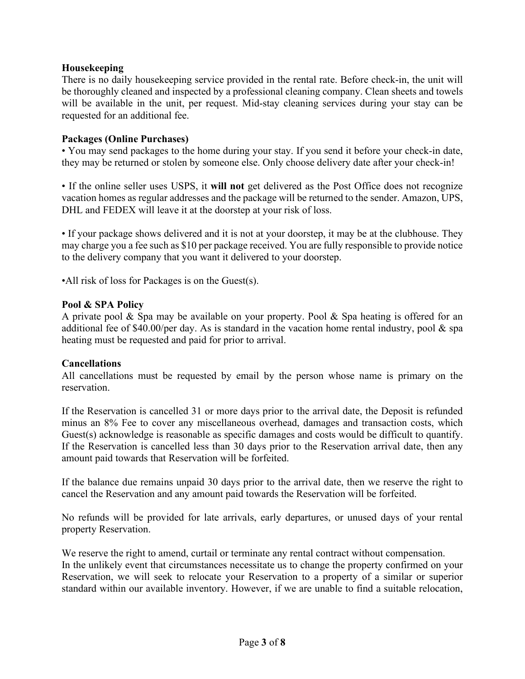### **Housekeeping**

There is no daily housekeeping service provided in the rental rate. Before check-in, the unit will be thoroughly cleaned and inspected by a professional cleaning company. Clean sheets and towels will be available in the unit, per request. Mid-stay cleaning services during your stay can be requested for an additional fee.

#### **Packages (Online Purchases)**

• You may send packages to the home during your stay. If you send it before your check-in date, they may be returned or stolen by someone else. Only choose delivery date after your check-in!

• If the online seller uses USPS, it **will not** get delivered as the Post Office does not recognize vacation homes as regular addresses and the package will be returned to the sender. Amazon, UPS, DHL and FEDEX will leave it at the doorstep at your risk of loss.

• If your package shows delivered and it is not at your doorstep, it may be at the clubhouse. They may charge you a fee such as \$10 per package received. You are fully responsible to provide notice to the delivery company that you want it delivered to your doorstep.

•All risk of loss for Packages is on the Guest(s).

#### **Pool & SPA Policy**

A private pool & Spa may be available on your property. Pool & Spa heating is offered for an additional fee of \$40.00/per day. As is standard in the vacation home rental industry, pool  $\&$  spa heating must be requested and paid for prior to arrival.

#### **Cancellations**

All cancellations must be requested by email by the person whose name is primary on the reservation.

If the Reservation is cancelled 31 or more days prior to the arrival date, the Deposit is refunded minus an 8% Fee to cover any miscellaneous overhead, damages and transaction costs, which Guest(s) acknowledge is reasonable as specific damages and costs would be difficult to quantify. If the Reservation is cancelled less than 30 days prior to the Reservation arrival date, then any amount paid towards that Reservation will be forfeited.

If the balance due remains unpaid 30 days prior to the arrival date, then we reserve the right to cancel the Reservation and any amount paid towards the Reservation will be forfeited.

No refunds will be provided for late arrivals, early departures, or unused days of your rental property Reservation.

We reserve the right to amend, curtail or terminate any rental contract without compensation. In the unlikely event that circumstances necessitate us to change the property confirmed on your Reservation, we will seek to relocate your Reservation to a property of a similar or superior standard within our available inventory. However, if we are unable to find a suitable relocation,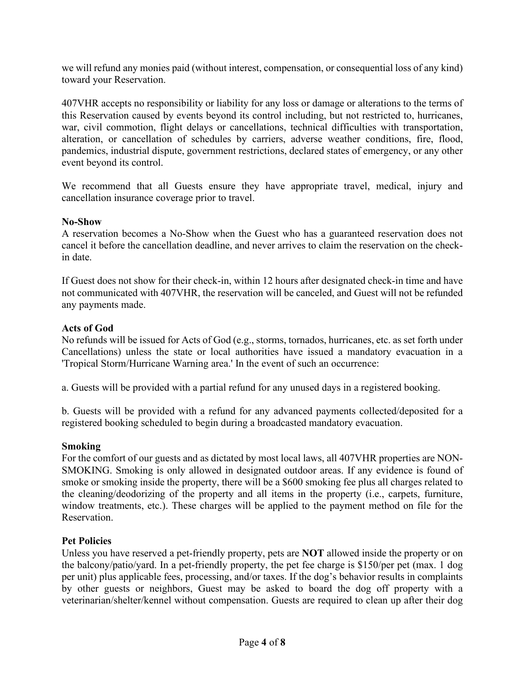we will refund any monies paid (without interest, compensation, or consequential loss of any kind) toward your Reservation.

407VHR accepts no responsibility or liability for any loss or damage or alterations to the terms of this Reservation caused by events beyond its control including, but not restricted to, hurricanes, war, civil commotion, flight delays or cancellations, technical difficulties with transportation, alteration, or cancellation of schedules by carriers, adverse weather conditions, fire, flood, pandemics, industrial dispute, government restrictions, declared states of emergency, or any other event beyond its control.

We recommend that all Guests ensure they have appropriate travel, medical, injury and cancellation insurance coverage prior to travel.

#### **No-Show**

A reservation becomes a No-Show when the Guest who has a guaranteed reservation does not cancel it before the cancellation deadline, and never arrives to claim the reservation on the checkin date.

If Guest does not show for their check-in, within 12 hours after designated check-in time and have not communicated with 407VHR, the reservation will be canceled, and Guest will not be refunded any payments made.

### **Acts of God**

No refunds will be issued for Acts of God (e.g., storms, tornados, hurricanes, etc. as set forth under Cancellations) unless the state or local authorities have issued a mandatory evacuation in a 'Tropical Storm/Hurricane Warning area.' In the event of such an occurrence:

a. Guests will be provided with a partial refund for any unused days in a registered booking.

b. Guests will be provided with a refund for any advanced payments collected/deposited for a registered booking scheduled to begin during a broadcasted mandatory evacuation.

#### **Smoking**

For the comfort of our guests and as dictated by most local laws, all 407VHR properties are NON-SMOKING. Smoking is only allowed in designated outdoor areas. If any evidence is found of smoke or smoking inside the property, there will be a \$600 smoking fee plus all charges related to the cleaning/deodorizing of the property and all items in the property (i.e., carpets, furniture, window treatments, etc.). These charges will be applied to the payment method on file for the Reservation.

#### **Pet Policies**

Unless you have reserved a pet-friendly property, pets are **NOT** allowed inside the property or on the balcony/patio/yard. In a pet-friendly property, the pet fee charge is \$150/per pet (max. 1 dog per unit) plus applicable fees, processing, and/or taxes. If the dog's behavior results in complaints by other guests or neighbors, Guest may be asked to board the dog off property with a veterinarian/shelter/kennel without compensation. Guests are required to clean up after their dog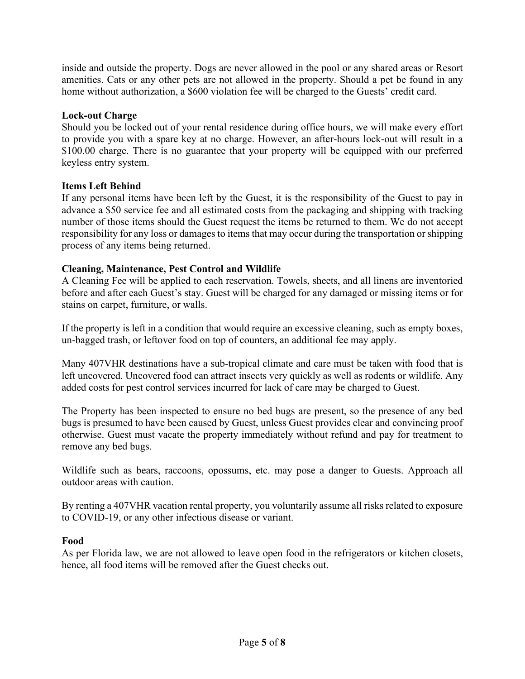inside and outside the property. Dogs are never allowed in the pool or any shared areas or Resort amenities. Cats or any other pets are not allowed in the property. Should a pet be found in any home without authorization, a \$600 violation fee will be charged to the Guests' credit card.

### **Lock-out Charge**

Should you be locked out of your rental residence during office hours, we will make every effort to provide you with a spare key at no charge. However, an after-hours lock-out will result in a \$100.00 charge. There is no guarantee that your property will be equipped with our preferred keyless entry system.

### **Items Left Behind**

If any personal items have been left by the Guest, it is the responsibility of the Guest to pay in advance a \$50 service fee and all estimated costs from the packaging and shipping with tracking number of those items should the Guest request the items be returned to them. We do not accept responsibility for any loss or damages to items that may occur during the transportation or shipping process of any items being returned.

### **Cleaning, Maintenance, Pest Control and Wildlife**

A Cleaning Fee will be applied to each reservation. Towels, sheets, and all linens are inventoried before and after each Guest's stay. Guest will be charged for any damaged or missing items or for stains on carpet, furniture, or walls.

If the property is left in a condition that would require an excessive cleaning, such as empty boxes, un-bagged trash, or leftover food on top of counters, an additional fee may apply.

Many 407VHR destinations have a sub-tropical climate and care must be taken with food that is left uncovered. Uncovered food can attract insects very quickly as well as rodents or wildlife. Any added costs for pest control services incurred for lack of care may be charged to Guest.

The Property has been inspected to ensure no bed bugs are present, so the presence of any bed bugs is presumed to have been caused by Guest, unless Guest provides clear and convincing proof otherwise. Guest must vacate the property immediately without refund and pay for treatment to remove any bed bugs.

Wildlife such as bears, raccoons, opossums, etc. may pose a danger to Guests. Approach all outdoor areas with caution.

By renting a 407VHR vacation rental property, you voluntarily assume all risks related to exposure to COVID-19, or any other infectious disease or variant.

#### **Food**

As per Florida law, we are not allowed to leave open food in the refrigerators or kitchen closets, hence, all food items will be removed after the Guest checks out.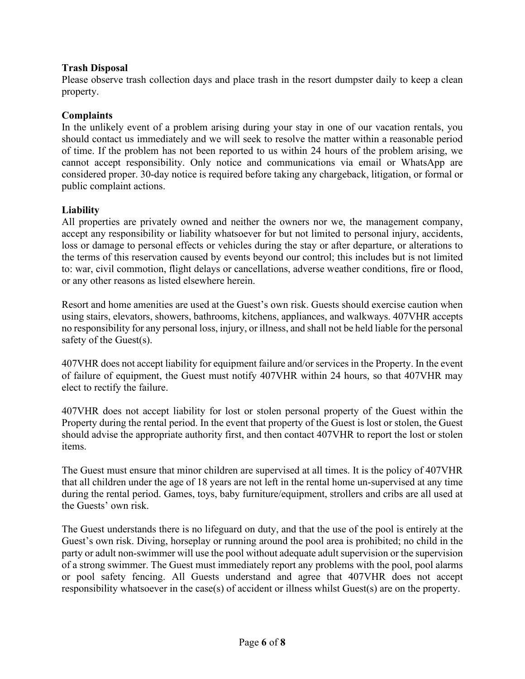## **Trash Disposal**

Please observe trash collection days and place trash in the resort dumpster daily to keep a clean property.

## **Complaints**

In the unlikely event of a problem arising during your stay in one of our vacation rentals, you should contact us immediately and we will seek to resolve the matter within a reasonable period of time. If the problem has not been reported to us within 24 hours of the problem arising, we cannot accept responsibility. Only notice and communications via email or WhatsApp are considered proper. 30-day notice is required before taking any chargeback, litigation, or formal or public complaint actions.

## **Liability**

All properties are privately owned and neither the owners nor we, the management company, accept any responsibility or liability whatsoever for but not limited to personal injury, accidents, loss or damage to personal effects or vehicles during the stay or after departure, or alterations to the terms of this reservation caused by events beyond our control; this includes but is not limited to: war, civil commotion, flight delays or cancellations, adverse weather conditions, fire or flood, or any other reasons as listed elsewhere herein.

Resort and home amenities are used at the Guest's own risk. Guests should exercise caution when using stairs, elevators, showers, bathrooms, kitchens, appliances, and walkways. 407VHR accepts no responsibility for any personal loss, injury, or illness, and shall not be held liable for the personal safety of the Guest(s).

407VHR does not accept liability for equipment failure and/or services in the Property. In the event of failure of equipment, the Guest must notify 407VHR within 24 hours, so that 407VHR may elect to rectify the failure.

407VHR does not accept liability for lost or stolen personal property of the Guest within the Property during the rental period. In the event that property of the Guest is lost or stolen, the Guest should advise the appropriate authority first, and then contact 407VHR to report the lost or stolen items.

The Guest must ensure that minor children are supervised at all times. It is the policy of 407VHR that all children under the age of 18 years are not left in the rental home un-supervised at any time during the rental period. Games, toys, baby furniture/equipment, strollers and cribs are all used at the Guests' own risk.

The Guest understands there is no lifeguard on duty, and that the use of the pool is entirely at the Guest's own risk. Diving, horseplay or running around the pool area is prohibited; no child in the party or adult non-swimmer will use the pool without adequate adult supervision or the supervision of a strong swimmer. The Guest must immediately report any problems with the pool, pool alarms or pool safety fencing. All Guests understand and agree that 407VHR does not accept responsibility whatsoever in the case(s) of accident or illness whilst Guest(s) are on the property.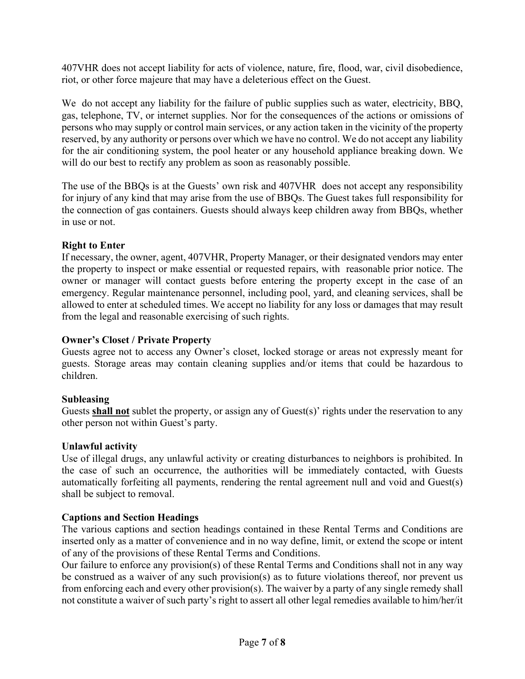407VHR does not accept liability for acts of violence, nature, fire, flood, war, civil disobedience, riot, or other force majeure that may have a deleterious effect on the Guest.

We do not accept any liability for the failure of public supplies such as water, electricity, BBQ, gas, telephone, TV, or internet supplies. Nor for the consequences of the actions or omissions of persons who may supply or control main services, or any action taken in the vicinity of the property reserved, by any authority or persons over which we have no control. We do not accept any liability for the air conditioning system, the pool heater or any household appliance breaking down. We will do our best to rectify any problem as soon as reasonably possible.

The use of the BBQs is at the Guests' own risk and 407VHR does not accept any responsibility for injury of any kind that may arise from the use of BBQs. The Guest takes full responsibility for the connection of gas containers. Guests should always keep children away from BBQs, whether in use or not.

## **Right to Enter**

If necessary, the owner, agent, 407VHR, Property Manager, or their designated vendors may enter the property to inspect or make essential or requested repairs, with reasonable prior notice. The owner or manager will contact guests before entering the property except in the case of an emergency. Regular maintenance personnel, including pool, yard, and cleaning services, shall be allowed to enter at scheduled times. We accept no liability for any loss or damages that may result from the legal and reasonable exercising of such rights.

## **Owner's Closet / Private Property**

Guests agree not to access any Owner's closet, locked storage or areas not expressly meant for guests. Storage areas may contain cleaning supplies and/or items that could be hazardous to children.

## **Subleasing**

Guests **shall not** sublet the property, or assign any of Guest(s)' rights under the reservation to any other person not within Guest's party.

## **Unlawful activity**

Use of illegal drugs, any unlawful activity or creating disturbances to neighbors is prohibited. In the case of such an occurrence, the authorities will be immediately contacted, with Guests automatically forfeiting all payments, rendering the rental agreement null and void and Guest(s) shall be subject to removal.

# **Captions and Section Headings**

The various captions and section headings contained in these Rental Terms and Conditions are inserted only as a matter of convenience and in no way define, limit, or extend the scope or intent of any of the provisions of these Rental Terms and Conditions.

Our failure to enforce any provision(s) of these Rental Terms and Conditions shall not in any way be construed as a waiver of any such provision(s) as to future violations thereof, nor prevent us from enforcing each and every other provision(s). The waiver by a party of any single remedy shall not constitute a waiver of such party's right to assert all other legal remedies available to him/her/it